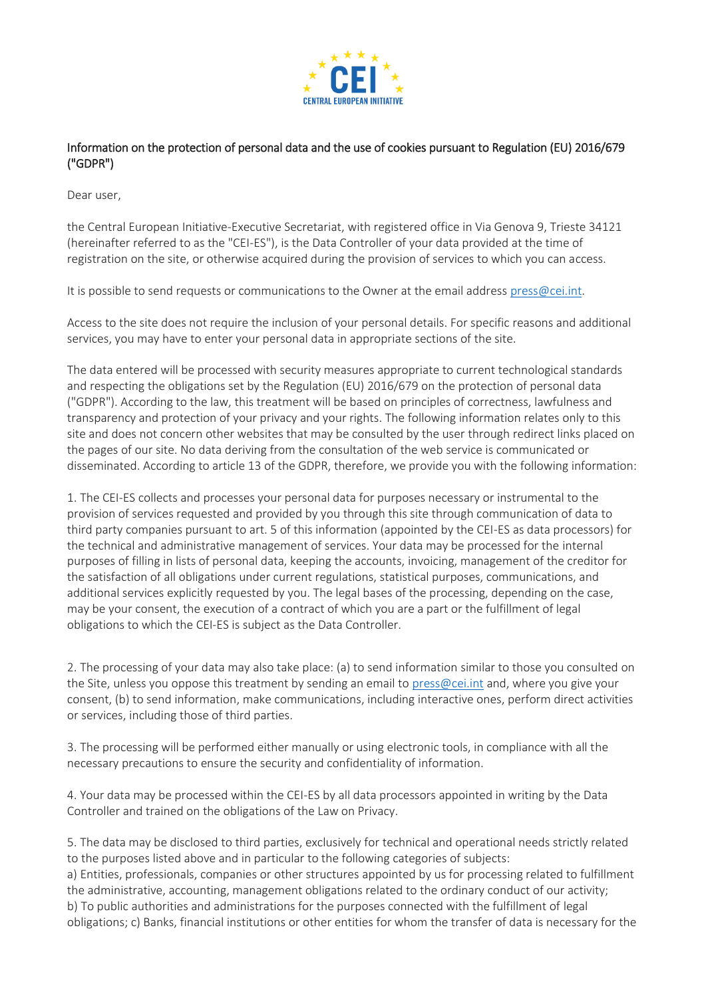

## Information on the protection of personal data and the use of cookies pursuant to Regulation (EU) 2016/679 ("GDPR")

Dear user,

the Central European Initiative-Executive Secretariat, with registered office in Via Genova 9, Trieste 34121 (hereinafter referred to as the "CEI-ES"), is the Data Controller of your data provided at the time of registration on the site, or otherwise acquired during the provision of services to which you can access.

It is possible to send requests or communications to the Owner at the email address [press@cei.int.](mailto:press@cei.int)

Access to the site does not require the inclusion of your personal details. For specific reasons and additional services, you may have to enter your personal data in appropriate sections of the site.

The data entered will be processed with security measures appropriate to current technological standards and respecting the obligations set by the Regulation (EU) 2016/679 on the protection of personal data ("GDPR"). According to the law, this treatment will be based on principles of correctness, lawfulness and transparency and protection of your privacy and your rights. The following information relates only to this site and does not concern other websites that may be consulted by the user through redirect links placed on the pages of our site. No data deriving from the consultation of the web service is communicated or disseminated. According to article 13 of the GDPR, therefore, we provide you with the following information:

1. The CEI-ES collects and processes your personal data for purposes necessary or instrumental to the provision of services requested and provided by you through this site through communication of data to third party companies pursuant to art. 5 of this information (appointed by the CEI-ES as data processors) for the technical and administrative management of services. Your data may be processed for the internal purposes of filling in lists of personal data, keeping the accounts, invoicing, management of the creditor for the satisfaction of all obligations under current regulations, statistical purposes, communications, and additional services explicitly requested by you. The legal bases of the processing, depending on the case, may be your consent, the execution of a contract of which you are a part or the fulfillment of legal obligations to which the CEI-ES is subject as the Data Controller.

2. The processing of your data may also take place: (a) to send information similar to those you consulted on the Site, unless you oppose this treatment by sending an email t[o press@cei.int](mailto:press@cei.int) and, where you give your consent, (b) to send information, make communications, including interactive ones, perform direct activities or services, including those of third parties.

3. The processing will be performed either manually or using electronic tools, in compliance with all the necessary precautions to ensure the security and confidentiality of information.

4. Your data may be processed within the CEI-ES by all data processors appointed in writing by the Data Controller and trained on the obligations of the Law on Privacy.

5. The data may be disclosed to third parties, exclusively for technical and operational needs strictly related to the purposes listed above and in particular to the following categories of subjects: a) Entities, professionals, companies or other structures appointed by us for processing related to fulfillment the administrative, accounting, management obligations related to the ordinary conduct of our activity; b) To public authorities and administrations for the purposes connected with the fulfillment of legal obligations; c) Banks, financial institutions or other entities for whom the transfer of data is necessary for the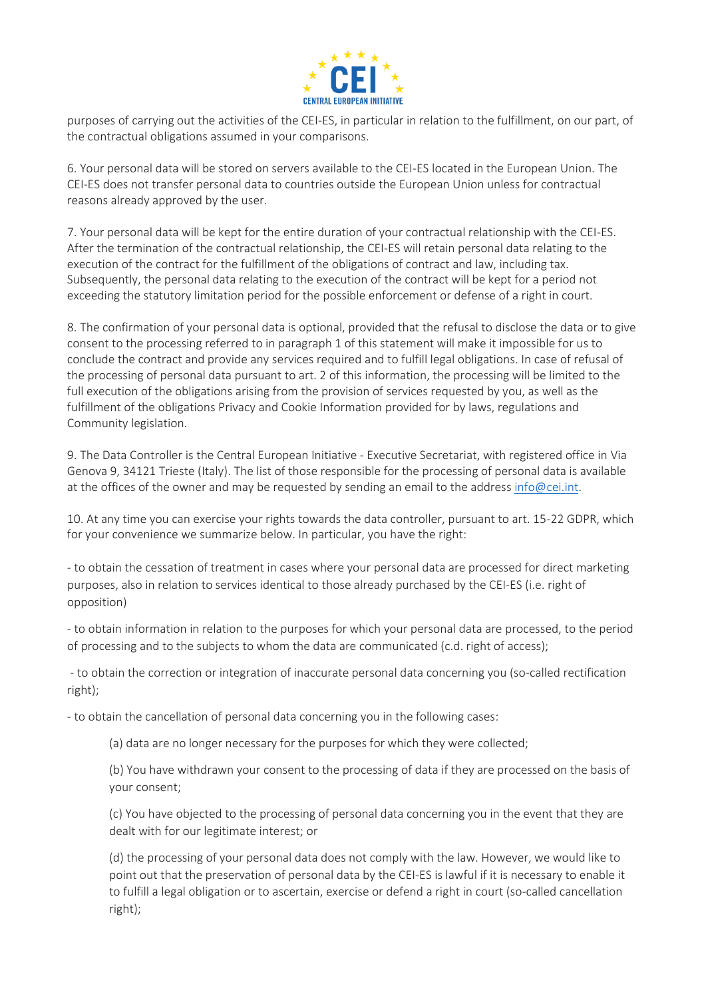

purposes of carrying out the activities of the CEI-ES, in particular in relation to the fulfillment, on our part, of the contractual obligations assumed in your comparisons.

6. Your personal data will be stored on servers available to the CEI-ES located in the European Union. The CEI-ES does not transfer personal data to countries outside the European Union unless for contractual reasons already approved by the user.

7. Your personal data will be kept for the entire duration of your contractual relationship with the CEI-ES. After the termination of the contractual relationship, the CEI-ES will retain personal data relating to the execution of the contract for the fulfillment of the obligations of contract and law, including tax. Subsequently, the personal data relating to the execution of the contract will be kept for a period not exceeding the statutory limitation period for the possible enforcement or defense of a right in court.

8. The confirmation of your personal data is optional, provided that the refusal to disclose the data or to give consent to the processing referred to in paragraph 1 of this statement will make it impossible for us to conclude the contract and provide any services required and to fulfill legal obligations. In case of refusal of the processing of personal data pursuant to art. 2 of this information, the processing will be limited to the full execution of the obligations arising from the provision of services requested by you, as well as the fulfillment of the obligations Privacy and Cookie Information provided for by laws, regulations and Community legislation.

9. The Data Controller is the Central European Initiative - Executive Secretariat, with registered office in Via Genova 9, 34121 Trieste (Italy). The list of those responsible for the processing of personal data is available at the offices of the owner and may be requested by sending an email to the address [info@cei.int.](mailto:info@cei.int)

10. At any time you can exercise your rights towards the data controller, pursuant to art. 15-22 GDPR, which for your convenience we summarize below. In particular, you have the right:

- to obtain the cessation of treatment in cases where your personal data are processed for direct marketing purposes, also in relation to services identical to those already purchased by the CEI-ES (i.e. right of opposition)

- to obtain information in relation to the purposes for which your personal data are processed, to the period of processing and to the subjects to whom the data are communicated (c.d. right of access);

- to obtain the correction or integration of inaccurate personal data concerning you (so-called rectification right);

- to obtain the cancellation of personal data concerning you in the following cases:

(a) data are no longer necessary for the purposes for which they were collected;

(b) You have withdrawn your consent to the processing of data if they are processed on the basis of your consent;

(c) You have objected to the processing of personal data concerning you in the event that they are dealt with for our legitimate interest; or

(d) the processing of your personal data does not comply with the law. However, we would like to point out that the preservation of personal data by the CEI-ES is lawful if it is necessary to enable it to fulfill a legal obligation or to ascertain, exercise or defend a right in court (so-called cancellation right);